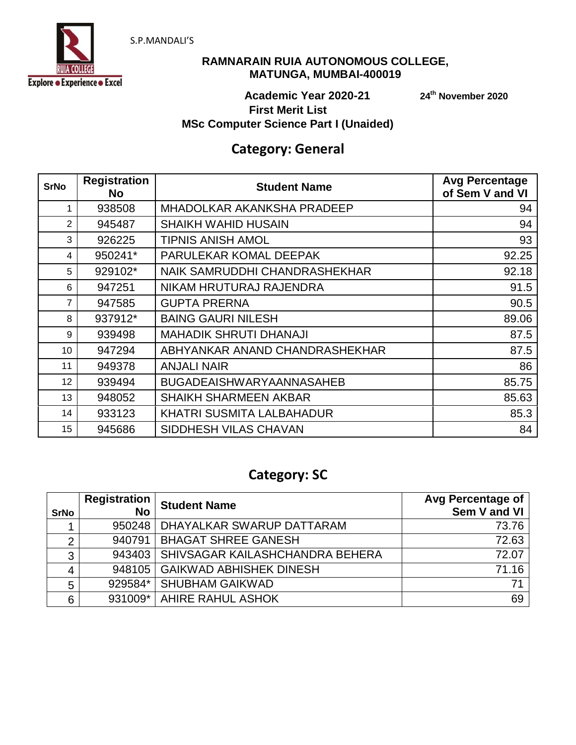



### **RAMNARAIN RUIA AUTONOMOUS COLLEGE, MATUNGA, MUMBAI-400019**

**th November 2020**

### **Academic Year 2020-21 24 First Merit List MSc Computer Science Part I (Unaided)**

## **Category: General**

| <b>SrNo</b> | <b>Registration</b><br><b>No</b> | <b>Student Name</b>               | <b>Avg Percentage</b><br>of Sem V and VI |
|-------------|----------------------------------|-----------------------------------|------------------------------------------|
| 1           | 938508                           | <b>MHADOLKAR AKANKSHA PRADEEP</b> | 94                                       |
| 2           | 945487                           | <b>SHAIKH WAHID HUSAIN</b>        | 94                                       |
| 3           | 926225                           | <b>TIPNIS ANISH AMOL</b>          | 93                                       |
| 4           | 950241*                          | PARULEKAR KOMAL DEEPAK            | 92.25                                    |
| 5           | 929102*                          | NAIK SAMRUDDHI CHANDRASHEKHAR     | 92.18                                    |
| 6           | 947251                           | NIKAM HRUTURAJ RAJENDRA           | 91.5                                     |
| 7           | 947585                           | <b>GUPTA PRERNA</b>               | 90.5                                     |
| 8           | 937912*                          | <b>BAING GAURI NILESH</b>         | 89.06                                    |
| 9           | 939498                           | <b>MAHADIK SHRUTI DHANAJI</b>     | 87.5                                     |
| 10          | 947294                           | ABHYANKAR ANAND CHANDRASHEKHAR    | 87.5                                     |
| 11          | 949378                           | <b>ANJALI NAIR</b>                | 86                                       |
| 12          | 939494                           | <b>BUGADEAISHWARYAANNASAHEB</b>   | 85.75                                    |
| 13          | 948052                           | <b>SHAIKH SHARMEEN AKBAR</b>      | 85.63                                    |
| 14          | 933123                           | KHATRI SUSMITA LALBAHADUR         | 85.3                                     |
| 15          | 945686                           | SIDDHESH VILAS CHAVAN             | 84                                       |

# **Category: SC**

| <b>SrNo</b>    | <b>Registration</b><br><b>No</b> | <b>Student Name</b>             | Avg Percentage of<br>Sem V and VI |
|----------------|----------------------------------|---------------------------------|-----------------------------------|
|                | 950248                           | DHAYALKAR SWARUP DATTARAM       | 73.76                             |
| $\overline{2}$ | 940791                           | <b>BHAGAT SHREE GANESH</b>      | 72.63                             |
| 3              | 943403                           | SHIVSAGAR KAILASHCHANDRA BEHERA | 72.07                             |
|                |                                  | 948105 GAIKWAD ABHISHEK DINESH  | 71.16                             |
| 5              | 929584*                          | <b>SHUBHAM GAIKWAD</b>          | 71                                |
| 6              |                                  | 931009*   AHIRE RAHUL ASHOK     | 69                                |